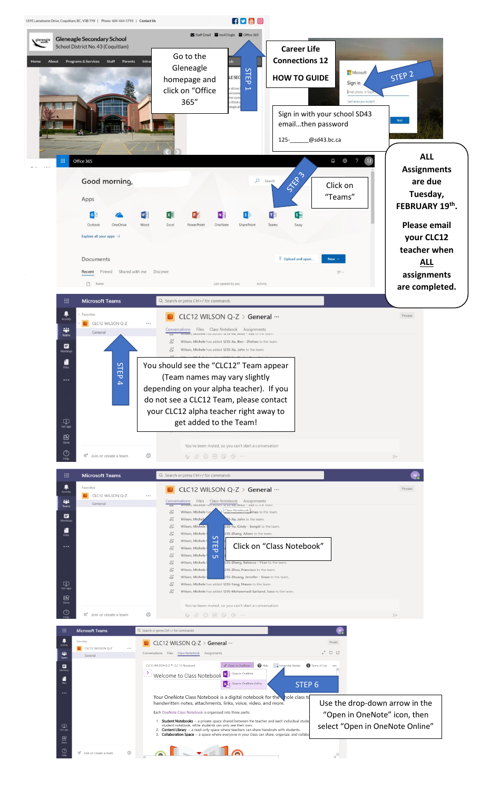